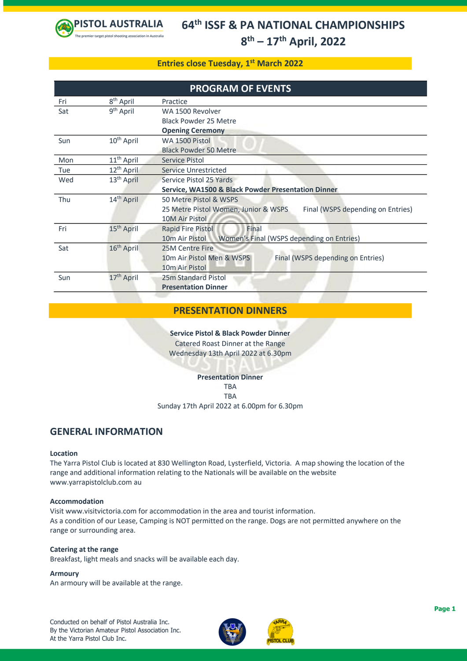

### **Entries close Tuesday, 1 st March 2022**

| <b>PROGRAM OF EVENTS</b> |                                                                         |                                                                                                     |  |  |  |  |
|--------------------------|-------------------------------------------------------------------------|-----------------------------------------------------------------------------------------------------|--|--|--|--|
| Fri                      | 8 <sup>th</sup> April                                                   | Practice                                                                                            |  |  |  |  |
| Sat                      | 9 <sup>th</sup> April                                                   | WA 1500 Revolver                                                                                    |  |  |  |  |
|                          |                                                                         | Black Powder 25 Metre                                                                               |  |  |  |  |
|                          |                                                                         | <b>Opening Ceremony</b>                                                                             |  |  |  |  |
| Sun                      | $10^{th}$ April                                                         | WA 1500 Pistol                                                                                      |  |  |  |  |
|                          |                                                                         | <b>Black Powder 50 Metre</b>                                                                        |  |  |  |  |
| Mon                      | 11 <sup>th</sup> April                                                  | Service Pistol                                                                                      |  |  |  |  |
| Tue                      | 12 <sup>th</sup> April                                                  | Service Unrestricted                                                                                |  |  |  |  |
| Wed                      | 13 <sup>th</sup> April                                                  | Service Pistol 25 Yards                                                                             |  |  |  |  |
|                          |                                                                         | <b>Service, WA1500 &amp; Black Powder Presentation Dinner</b>                                       |  |  |  |  |
| Thu                      | 14 <sup>th</sup> April                                                  | 50 Metre Pistol & WSPS<br>25 Metre Pistol Women, Junior & WSPS<br>Final (WSPS depending on Entries) |  |  |  |  |
|                          |                                                                         |                                                                                                     |  |  |  |  |
|                          |                                                                         | 10M Air Pistol                                                                                      |  |  |  |  |
| Fri                      | 15 <sup>th</sup> April                                                  | Final<br>Rapid Fire Pistol                                                                          |  |  |  |  |
|                          | Women's Final (WSPS depending on Entries)<br>10 <sub>m</sub> Air Pistol |                                                                                                     |  |  |  |  |
| Sat                      | 16 <sup>th</sup> April                                                  | 25M Centre Fire                                                                                     |  |  |  |  |
|                          |                                                                         | Final (WSPS depending on Entries)<br>10m Air Pistol Men & WSPS                                      |  |  |  |  |
|                          |                                                                         | 10m Air Pistol                                                                                      |  |  |  |  |
| Sun                      | 17 <sup>th</sup> April                                                  | 25m Standard Pistol                                                                                 |  |  |  |  |
|                          | <b>Presentation Dinner</b>                                              |                                                                                                     |  |  |  |  |

### **PRESENTATION DINNERS**

**Service Pistol & Black Powder Dinner** Catered Roast Dinner at the Range Wednesday 13th April 2022 at 6.30pm

### **Presentation Dinner**

**TRA** TBA Sunday 17th April 2022 at 6.00pm for 6.30pm

### **GENERAL INFORMATION**

### **Location**

The Yarra Pistol Club is located at 830 Wellington Road, Lysterfield, Victoria. A map showing the location of the range and additional information relating to the Nationals will be available on the website www.yarrapistolclub.com au

### **Accommodation**

Visit www.visitvictoria.com for accommodation in the area and tourist information. As a condition of our Lease, Camping is NOT permitted on the range. Dogs are not permitted anywhere on the range or surrounding area.

### **Catering at the range**

Breakfast, light meals and snacks will be available each day.

### **Armoury**

An armoury will be available at the range.

Conducted on behalf of Pistol Australia Inc. By the Victorian Amateur Pistol Association Inc. At the Yarra Pistol Club Inc.



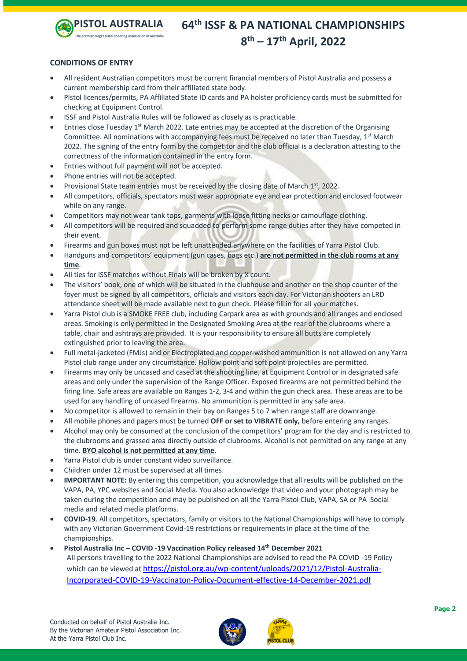

### **CONDITIONS OF ENTRY**

- All resident Australian competitors must be current financial members of Pistol Australia and possess a current membership card from their affiliated state body.
- Pistol licences/permits, PA Affiliated State ID cards and PA holster proficiency cards must be submitted for checking at Equipment Control.
- ISSF and Pistol Australia Rules will be followed as closely as is practicable.
- Entries close Tuesday  $1<sup>st</sup>$  March 2022. Late entries may be accepted at the discretion of the Organising Committee. All nominations with accompanying fees must be received no later than Tuesday,  $1<sup>st</sup>$  March 2022. The signing of the entry form by the competitor and the club official is a declaration attesting to the correctness of the information contained in the entry form.
- Entries without full payment will not be accepted.
- Phone entries will not be accepted.
- Provisional State team entries must be received by the closing date of March 1<sup>st</sup>, 2022.
- All competitors, officials, spectators must wear appropriate eye and ear protection and enclosed footwear while on any range.
- Competitors may not wear tank tops, garments with loose fitting necks or camouflage clothing.
- All competitors will be required and squadded to perform some range duties after they have competed in their event.
- Firearms and gun boxes must not be left unattended anywhere on the facilities of Yarra Pistol Club.
- Handguns and competitors' equipment (gun cases, bags etc.) **are not permitted in the club rooms at any time**.
- All ties for ISSF matches without Finals will be broken by X count.
- The visitors' book, one of which will be situated in the clubhouse and another on the shop counter of the foyer must be signed by all competitors, officials and visitors each day. For Victorian shooters an LRD attendance sheet will be made available next to gun check. Please fill in for all your matches.
- Yarra Pistol club is a SMOKE FREE club, including Carpark area as with grounds and all ranges and enclosed areas. Smoking is only permitted in the Designated Smoking Area at the rear of the clubrooms where a table, chair and ashtrays are provided. It is your responsibility to ensure all butts are completely extinguished prior to leaving the area.
- Full metal-jacketed (FMJs) and or Electroplated and copper-washed ammunition is not allowed on any Yarra Pistol club range under any circumstance. Hollow point and soft point projectiles are permitted.
- Firearms may only be uncased and cased at the shooting line, at Equipment Control or in designated safe areas and only under the supervision of the Range Officer. Exposed firearms are not permitted behind the firing line. Safe areas are available on Ranges 1-2, 3-4 and within the gun check area. These areas are to be used for any handling of uncased firearms. No ammunition is permitted in any safe area.
- No competitor is allowed to remain in their bay on Ranges 5 to 7 when range staff are downrange.
- All mobile phones and pagers must be turned **OFF or set to VIBRATE only,** before entering any ranges.
- Alcohol may only be consumed at the conclusion of the competitors' program for the day and is restricted to the clubrooms and grassed area directly outside of clubrooms. Alcohol is not permitted on any range at any time. **BYO alcohol is not permitted at any time**.
- Yarra Pistol club is under constant video surveillance.
- Children under 12 must be supervised at all times.
- **IMPORTANT NOTE:** By entering this competition, you acknowledge that all results will be published on the VAPA, PA, YPC websites and Social Media. You also acknowledge that video and your photograph may be taken during the competition and may be published on all the Yarra Pistol Club, VAPA, SA or PA Social media and related media platforms.
- **COVID-19**. All competitors, spectators, family or visitors to the National Championships will have to comply with any Victorian Government Covid-19 restrictions or requirements in place at the time of the championships.
- **Pistol Australia Inc – COVID -19 Vaccination Policy released 14th December 2021** All persons travelling to the 2022 National Championships are advised to read the PA COVID -19 Policy which can be viewed at [https://pistol.org.au/wp-content/uploads/2021/12/Pistol-Australia-](https://pistol.org.au/wp-content/uploads/2021/12/Pistol-Australia-Incorporated-COVID-19-Vaccinaton-Policy-Document-effective-14-December-2021.pdf)[Incorporated-COVID-19-Vaccinaton-Policy-Document-effective-14-December-2021.pdf](https://pistol.org.au/wp-content/uploads/2021/12/Pistol-Australia-Incorporated-COVID-19-Vaccinaton-Policy-Document-effective-14-December-2021.pdf)

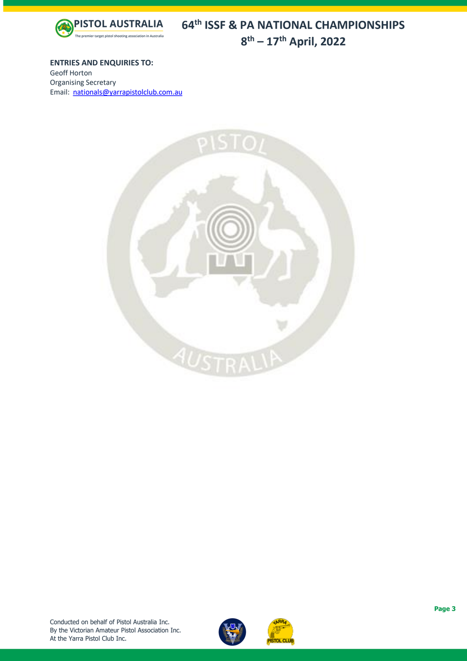

**ENTRIES AND ENQUIRIES TO:** Geoff Horton Organising Secretary

Email: [nationals@yarrapistolclub.com.](mailto:nationals@yarrapistolclub.com)au



![](_page_2_Picture_5.jpeg)

![](_page_2_Picture_6.jpeg)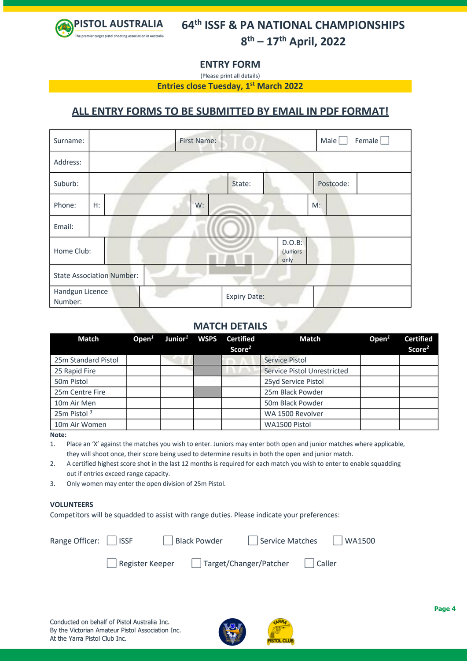![](_page_3_Picture_0.jpeg)

**ENTRY FORM**

(Please print all details)

**Entries close Tuesday, 1 st March 2022**

## **ALL ENTRY FORMS TO BE SUBMITTED BY EMAIL IN PDF FORMAT!**

| Surname:                         |       | <b>First Name:</b> |                     |                            | Female $\square$<br>Male |
|----------------------------------|-------|--------------------|---------------------|----------------------------|--------------------------|
| Address:                         |       |                    |                     |                            |                          |
| Suburb:                          |       |                    | State:              |                            | Postcode:                |
| Phone:                           | $H$ : | W:                 |                     |                            | $M$ :                    |
| Email:                           |       |                    |                     |                            |                          |
| Home Club:                       |       |                    |                     | D.O.B:<br>(Juniors<br>only |                          |
| <b>State Association Number:</b> |       |                    |                     |                            |                          |
| Handgun Licence<br>Number:       |       |                    | <b>Expiry Date:</b> |                            |                          |

### **MATCH DETAILS**

| <b>Match</b>            | Open $1$ | Junior <sup>1</sup> WSPS | <b>Certified</b><br>Score <sup>2</sup> | Match                       | Open $1$ | <b>Certified</b><br>Score <sup>2</sup> |
|-------------------------|----------|--------------------------|----------------------------------------|-----------------------------|----------|----------------------------------------|
| 25m Standard Pistol     |          |                          |                                        | Service Pistol              |          |                                        |
| 25 Rapid Fire           |          |                          |                                        | Service Pistol Unrestricted |          |                                        |
| 50m Pistol              |          |                          |                                        | 25yd Service Pistol         |          |                                        |
| 25m Centre Fire         |          |                          |                                        | 25m Black Powder            |          |                                        |
| 10m Air Men             |          |                          |                                        | 50m Black Powder            |          |                                        |
| 25m Pistol <sup>3</sup> |          |                          |                                        | WA 1500 Revolver            |          |                                        |
| 10m Air Women           |          |                          |                                        | WA1500 Pistol               |          |                                        |

**Note:**

1. Place an 'X' against the matches you wish to enter. Juniors may enter both open and junior matches where applicable, they will shoot once, their score being used to determine results in both the open and junior match.

2. A certified highest score shot in the last 12 months is required for each match you wish to enter to enable squadding out if entries exceed range capacity.

3. Only women may enter the open division of 25m Pistol.

### **VOLUNTEERS**

Competitors will be squadded to assist with range duties. Please indicate your preferences:

| Range Officer:   ISSF |                         | Black Powder           | Service Matches   WA1500 |        |  |
|-----------------------|-------------------------|------------------------|--------------------------|--------|--|
|                       | $\vert$ Register Keeper | Target/Changer/Patcher |                          | Caller |  |

![](_page_3_Picture_17.jpeg)